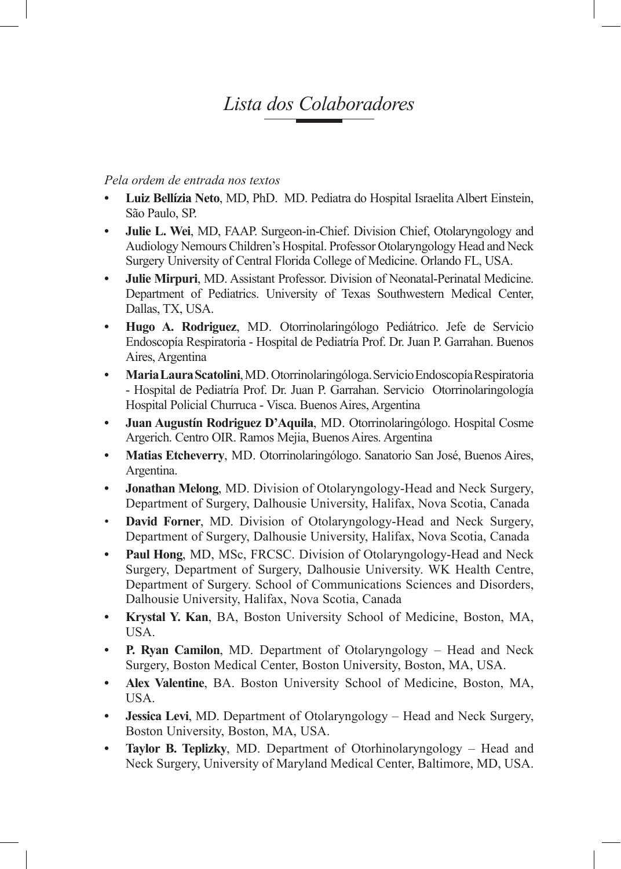## *Lista dos Colaboradores*

## *Pela ordem de entrada nos textos*

- **• Luiz Bellízia Neto**, MD, PhD. MD. Pediatra do Hospital Israelita Albert Einstein, São Paulo, SP.
- **• Julie L. Wei**, MD, FAAP. Surgeon-in-Chief. Division Chief, Otolaryngology and Audiology Nemours Children's Hospital. Professor Otolaryngology Head and Neck Surgery University of Central Florida College of Medicine. Orlando FL, USA.
- **• Julie Mirpuri**, MD. Assistant Professor. Division of Neonatal-Perinatal Medicine. Department of Pediatrics. University of Texas Southwestern Medical Center, Dallas, TX, USA.
- **• Hugo A. Rodriguez**, MD. Otorrinolaringólogo Pediátrico. Jefe de Servicio Endoscopía Respiratoria - Hospital de Pediatría Prof. Dr. Juan P. Garrahan. Buenos Aires, Argentina
- **• MariaLauraScatolini**, MD. Otorrinolaringóloga. Servicio Endoscopía Respiratoria - Hospital de Pediatría Prof. Dr. Juan P. Garrahan. Servicio Otorrinolaringología Hospital Policial Churruca - Visca. Buenos Aires, Argentina
- **• Juan Augustín Rodriguez D'Aquila**, MD. Otorrinolaringólogo. Hospital Cosme Argerich. Centro OIR. Ramos Mejia, Buenos Aires. Argentina
- **• Matias Etcheverry**, MD. Otorrinolaringólogo. Sanatorio San José, Buenos Aires, Argentina.
- **• Jonathan Melong**, MD. Division of Otolaryngology-Head and Neck Surgery, Department of Surgery, Dalhousie University, Halifax, Nova Scotia, Canada
- **David Forner, MD.** Division of Otolaryngology-Head and Neck Surgery, Department of Surgery, Dalhousie University, Halifax, Nova Scotia, Canada
- **• Paul Hong**, MD, MSc, FRCSC. Division of Otolaryngology-Head and Neck Surgery, Department of Surgery, Dalhousie University. WK Health Centre, Department of Surgery. School of Communications Sciences and Disorders, Dalhousie University, Halifax, Nova Scotia, Canada
- **• Krystal Y. Kan**, BA, Boston University School of Medicine, Boston, MA, USA.
- **• P. Ryan Camilon**, MD. Department of Otolaryngology Head and Neck Surgery, Boston Medical Center, Boston University, Boston, MA, USA.
- **• Alex Valentine**, BA. Boston University School of Medicine, Boston, MA, USA.
- **Jessica Levi**, MD. Department of Otolaryngology Head and Neck Surgery, Boston University, Boston, MA, USA.
- **• Taylor B. Teplizky**, MD. Department of Otorhinolaryngology Head and Neck Surgery, University of Maryland Medical Center, Baltimore, MD, USA.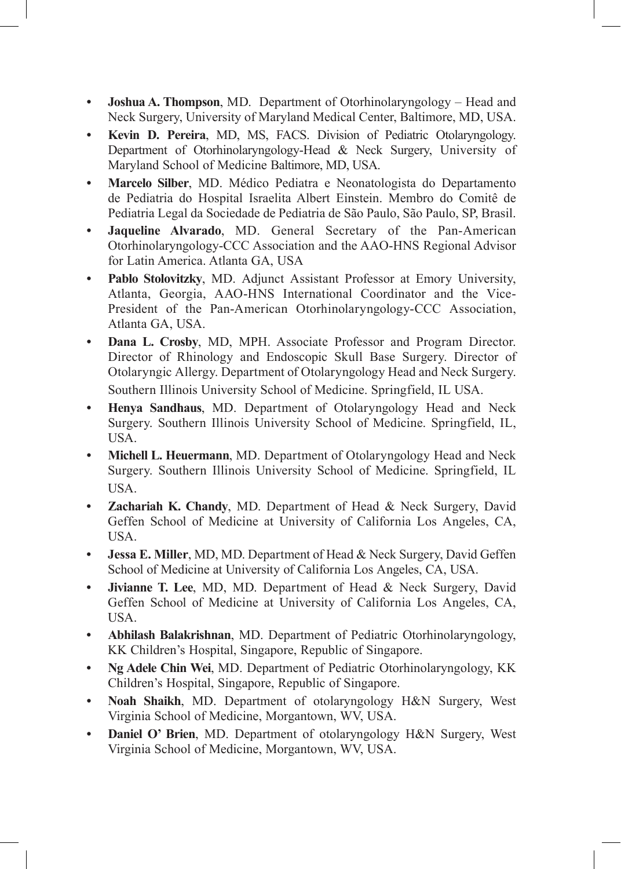- **• Joshua A. Thompson**, MD. Department of Otorhinolaryngology Head and Neck Surgery, University of Maryland Medical Center, Baltimore, MD, USA.
- **• Kevin D. Pereira**, MD, MS, FACS. Division of Pediatric Otolaryngology. Department of Otorhinolaryngology-Head & Neck Surgery, University of Maryland School of Medicine Baltimore, MD, USA.
- **• Marcelo Silber**, MD. Médico Pediatra e Neonatologista do Departamento de Pediatria do Hospital Israelita Albert Einstein. Membro do Comitê de Pediatria Legal da Sociedade de Pediatria de São Paulo, São Paulo, SP, Brasil.
- **• Jaqueline Alvarado**, MD. General Secretary of the Pan-American Otorhinolaryngology-CCC Association and the AAO-HNS Regional Advisor for Latin America. Atlanta GA, USA
- **• Pablo Stolovitzky**, MD. Adjunct Assistant Professor at Emory University, Atlanta, Georgia, AAO-HNS International Coordinator and the Vice-President of the Pan-American Otorhinolaryngology-CCC Association, Atlanta GA, USA.
- **• Dana L. Crosby**, MD, MPH. Associate Professor and Program Director. Director of Rhinology and Endoscopic Skull Base Surgery. Director of Otolaryngic Allergy. Department of Otolaryngology Head and Neck Surgery. Southern Illinois University School of Medicine. Springfield, IL USA.
- **• Henya Sandhaus**, MD. Department of Otolaryngology Head and Neck Surgery. Southern Illinois University School of Medicine. Springfield, IL, USA.
- **• Michell L. Heuermann**, MD. Department of Otolaryngology Head and Neck Surgery. Southern Illinois University School of Medicine. Springfield, IL USA.
- **• Zachariah K. Chandy**, MD. Department of Head & Neck Surgery, David Geffen School of Medicine at University of California Los Angeles, CA, USA.
- **• Jessa E. Miller**, MD, MD. Department of Head & Neck Surgery, David Geffen School of Medicine at University of California Los Angeles, CA, USA.
- **• Jivianne T. Lee**, MD, MD. Department of Head & Neck Surgery, David Geffen School of Medicine at University of California Los Angeles, CA, USA.
- **• Abhilash Balakrishnan**, MD. Department of Pediatric Otorhinolaryngology, KK Children's Hospital, Singapore, Republic of Singapore.
- **• Ng Adele Chin Wei**, MD. Department of Pediatric Otorhinolaryngology, KK Children's Hospital, Singapore, Republic of Singapore.
- **Noah Shaikh, MD. Department of otolaryngology H&N Surgery, West** Virginia School of Medicine, Morgantown, WV, USA.
- **• Daniel O' Brien**, MD. Department of otolaryngology H&N Surgery, West Virginia School of Medicine, Morgantown, WV, USA.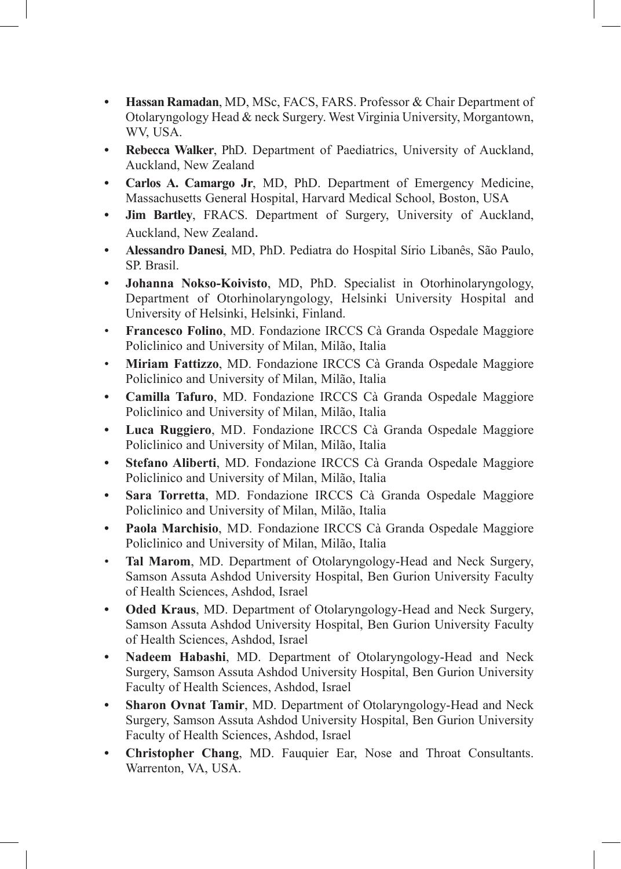- **• Hassan Ramadan**, MD, MSc, FACS, FARS. Professor & Chair Department of Otolaryngology Head & neck Surgery. West Virginia University, Morgantown, WV, USA.
- **• Rebecca Walker**, PhD. Department of Paediatrics, University of Auckland, Auckland, New Zealand
- **• Carlos A. Camargo Jr**, MD, PhD. Department of Emergency Medicine, Massachusetts General Hospital, Harvard Medical School, Boston, USA
- **• Jim Bartley**, FRACS. Department of Surgery, University of Auckland, Auckland, New Zealand.
- **• Alessandro Danesi**, MD, PhD. Pediatra do Hospital Sírio Libanês, São Paulo, SP. Brasil.
- **• Johanna Nokso-Koivisto**, MD, PhD. Specialist in Otorhinolaryngology, Department of Otorhinolaryngology, Helsinki University Hospital and University of Helsinki, Helsinki, Finland.
- **Francesco Folino**, MD. Fondazione IRCCS Cà Granda Ospedale Maggiore Policlinico and University of Milan, Milão, Italia
- **Miriam Fattizzo**, MD. Fondazione IRCCS Cà Granda Ospedale Maggiore Policlinico and University of Milan, Milão, Italia
- **• Camilla Tafuro**, MD. Fondazione IRCCS Cà Granda Ospedale Maggiore Policlinico and University of Milan, Milão, Italia
- **• Luca Ruggiero**, MD. Fondazione IRCCS Cà Granda Ospedale Maggiore Policlinico and University of Milan, Milão, Italia
- **• Stefano Aliberti**, MD. Fondazione IRCCS Cà Granda Ospedale Maggiore Policlinico and University of Milan, Milão, Italia
- **• Sara Torretta**, MD. Fondazione IRCCS Cà Granda Ospedale Maggiore Policlinico and University of Milan, Milão, Italia
- **• Paola Marchisio**, MD. Fondazione IRCCS Cà Granda Ospedale Maggiore Policlinico and University of Milan, Milão, Italia
- • **Tal Marom**, MD. Department of Otolaryngology-Head and Neck Surgery, Samson Assuta Ashdod University Hospital, Ben Gurion University Faculty of Health Sciences, Ashdod, Israel
- **• Oded Kraus**, MD. Department of Otolaryngology-Head and Neck Surgery, Samson Assuta Ashdod University Hospital, Ben Gurion University Faculty of Health Sciences, Ashdod, Israel
- **• Nadeem Habashi**, MD. Department of Otolaryngology-Head and Neck Surgery, Samson Assuta Ashdod University Hospital, Ben Gurion University Faculty of Health Sciences, Ashdod, Israel
- **• Sharon Ovnat Tamir**, MD. Department of Otolaryngology-Head and Neck Surgery, Samson Assuta Ashdod University Hospital, Ben Gurion University Faculty of Health Sciences, Ashdod, Israel
- **Christopher Chang, MD. Fauquier Ear, Nose and Throat Consultants.** Warrenton, VA, USA.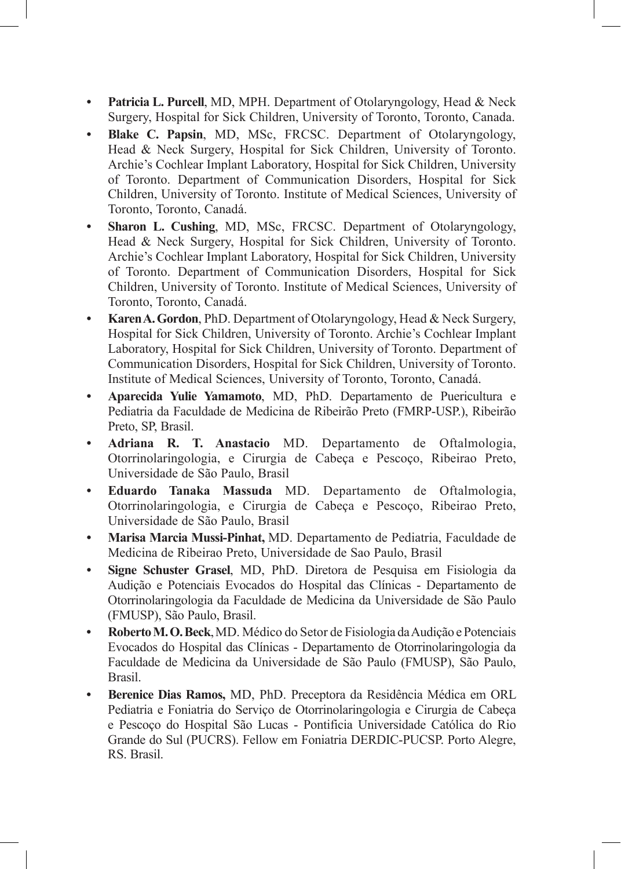- **• Patricia L. Purcell**, MD, MPH. Department of Otolaryngology, Head & Neck Surgery, Hospital for Sick Children, University of Toronto, Toronto, Canada.
- **• Blake C. Papsin**, MD, MSc, FRCSC. Department of Otolaryngology, Head & Neck Surgery, Hospital for Sick Children, University of Toronto. Archie's Cochlear Implant Laboratory, Hospital for Sick Children, University of Toronto. Department of Communication Disorders, Hospital for Sick Children, University of Toronto. Institute of Medical Sciences, University of Toronto, Toronto, Canadá.
- **• Sharon L. Cushing**, MD, MSc, FRCSC. Department of Otolaryngology, Head & Neck Surgery, Hospital for Sick Children, University of Toronto. Archie's Cochlear Implant Laboratory, Hospital for Sick Children, University of Toronto. Department of Communication Disorders, Hospital for Sick Children, University of Toronto. Institute of Medical Sciences, University of Toronto, Toronto, Canadá.
- **• KarenA.Gordon**, PhD. Department of Otolaryngology, Head & Neck Surgery, Hospital for Sick Children, University of Toronto. Archie's Cochlear Implant Laboratory, Hospital for Sick Children, University of Toronto. Department of Communication Disorders, Hospital for Sick Children, University of Toronto. Institute of Medical Sciences, University of Toronto, Toronto, Canadá.
- **• Aparecida Yulie Yamamoto**, MD, PhD. Departamento de Puericultura e Pediatria da Faculdade de Medicina de Ribeirão Preto (FMRP-USP.), Ribeirão Preto, SP, Brasil.
- **• Adriana R. T. Anastacio** MD. Departamento de Oftalmologia, Otorrinolaringologia, e Cirurgia de Cabeça e Pescoço, Ribeirao Preto, Universidade de São Paulo, Brasil
- **• Eduardo Tanaka Massuda** MD. Departamento de Oftalmologia, Otorrinolaringologia, e Cirurgia de Cabeça e Pescoço, Ribeirao Preto, Universidade de São Paulo, Brasil
- **• Marisa Marcia Mussi-Pinhat,** MD. Departamento de Pediatria, Faculdade de Medicina de Ribeirao Preto, Universidade de Sao Paulo, Brasil
- **• Signe Schuster Grasel**, MD, PhD. Diretora de Pesquisa em Fisiologia da Audição e Potenciais Evocados do Hospital das Clínicas - Departamento de Otorrinolaringologia da Faculdade de Medicina da Universidade de São Paulo (FMUSP), São Paulo, Brasil.
- **• RobertoM.O.Beck**, MD. Médico do Setor de Fisiologia da Audição e Potenciais Evocados do Hospital das Clínicas - Departamento de Otorrinolaringologia da Faculdade de Medicina da Universidade de São Paulo (FMUSP), São Paulo, Brasil.
- **• Berenice Dias Ramos,** MD, PhD. Preceptora da Residência Médica em ORL Pediatria e Foniatria do Serviço de Otorrinolaringologia e Cirurgia de Cabeça e Pescoço do Hospital São Lucas - Pontificia Universidade Católica do Rio Grande do Sul (PUCRS). Fellow em Foniatria DERDIC-PUCSP. Porto Alegre, RS. Brasil.